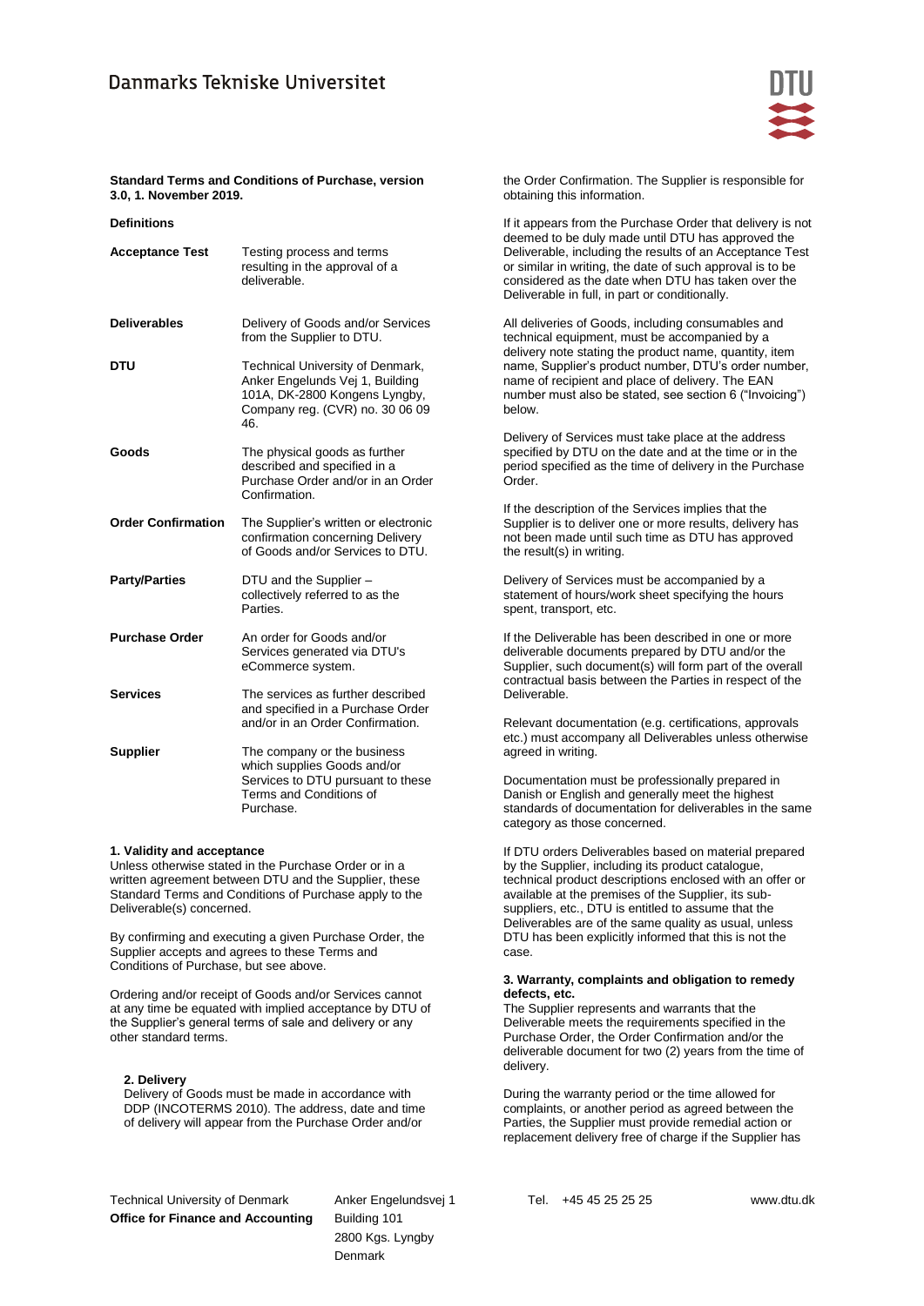

# **Standard Terms and Conditions of Purchase, version 3.0, 1. November 2019.**

| <b>Definitions</b> |  |
|--------------------|--|
|                    |  |

| <b>Acceptance Test</b>    | Testing process and terms<br>resulting in the approval of a<br>deliverable.                                                                    |
|---------------------------|------------------------------------------------------------------------------------------------------------------------------------------------|
| <b>Deliverables</b>       | Delivery of Goods and/or Services<br>from the Supplier to DTU.                                                                                 |
| DTU                       | Technical University of Denmark,<br>Anker Engelunds Vej 1, Building<br>101A, DK-2800 Kongens Lyngby,<br>Company reg. (CVR) no. 30 06 09<br>46. |
| Goods                     | The physical goods as further<br>described and specified in a<br>Purchase Order and/or in an Order<br>Confirmation.                            |
| <b>Order Confirmation</b> | The Supplier's written or electronic<br>confirmation concerning Delivery<br>of Goods and/or Services to DTU.                                   |
| <b>Party/Parties</b>      | DTU and the Supplier -<br>collectively referred to as the<br>Parties.                                                                          |
| <b>Purchase Order</b>     | An order for Goods and/or<br>Services generated via DTU's<br>eCommerce system.                                                                 |
| <b>Services</b>           | The services as further described<br>and specified in a Purchase Order<br>and/or in an Order Confirmation.                                     |
| <b>Supplier</b>           | The company or the business<br>which supplies Goods and/or<br>Services to DTU pursuant to these<br>Terms and Conditions of<br>Purchase.        |

## **1. Validity and acceptance**

Unless otherwise stated in the Purchase Order or in a written agreement between DTU and the Supplier, these Standard Terms and Conditions of Purchase apply to the Deliverable(s) concerned.

By confirming and executing a given Purchase Order, the Supplier accepts and agrees to these Terms and Conditions of Purchase, but see above.

Ordering and/or receipt of Goods and/or Services cannot at any time be equated with implied acceptance by DTU of the Supplier's general terms of sale and delivery or any other standard terms.

## **2. Delivery**

Delivery of Goods must be made in accordance with DDP (INCOTERMS 2010). The address, date and time of delivery will appear from the Purchase Order and/or

the Order Confirmation. The Supplier is responsible for obtaining this information.

If it appears from the Purchase Order that delivery is not deemed to be duly made until DTU has approved the Deliverable, including the results of an Acceptance Test or similar in writing, the date of such approval is to be considered as the date when DTU has taken over the Deliverable in full, in part or conditionally.

All deliveries of Goods, including consumables and technical equipment, must be accompanied by a delivery note stating the product name, quantity, item name, Supplier's product number, DTU's order number, name of recipient and place of delivery. The EAN number must also be stated, see section 6 ("Invoicing") below.

Delivery of Services must take place at the address specified by DTU on the date and at the time or in the period specified as the time of delivery in the Purchase Order.

If the description of the Services implies that the Supplier is to deliver one or more results, delivery has not been made until such time as DTU has approved the result(s) in writing.

Delivery of Services must be accompanied by a statement of hours/work sheet specifying the hours spent, transport, etc.

If the Deliverable has been described in one or more deliverable documents prepared by DTU and/or the Supplier, such document(s) will form part of the overall contractual basis between the Parties in respect of the Deliverable.

Relevant documentation (e.g. certifications, approvals etc.) must accompany all Deliverables unless otherwise agreed in writing.

Documentation must be professionally prepared in Danish or English and generally meet the highest standards of documentation for deliverables in the same category as those concerned.

If DTU orders Deliverables based on material prepared by the Supplier, including its product catalogue, technical product descriptions enclosed with an offer or available at the premises of the Supplier, its subsuppliers, etc., DTU is entitled to assume that the Deliverables are of the same quality as usual, unless DTU has been explicitly informed that this is not the case.

### **3. Warranty, complaints and obligation to remedy defects, etc.**

The Supplier represents and warrants that the Deliverable meets the requirements specified in the Purchase Order, the Order Confirmation and/or the deliverable document for two (2) years from the time of delivery.

During the warranty period or the time allowed for complaints, or another period as agreed between the Parties, the Supplier must provide remedial action or replacement delivery free of charge if the Supplier has

Technical University of Denmark **Office for Finance and Accounting** 

Anker Engelundsvej 1 Building 101 2800 Kgs. Lyngby Denmark

Tel. +45 45 25 25 25 www.dtu.dk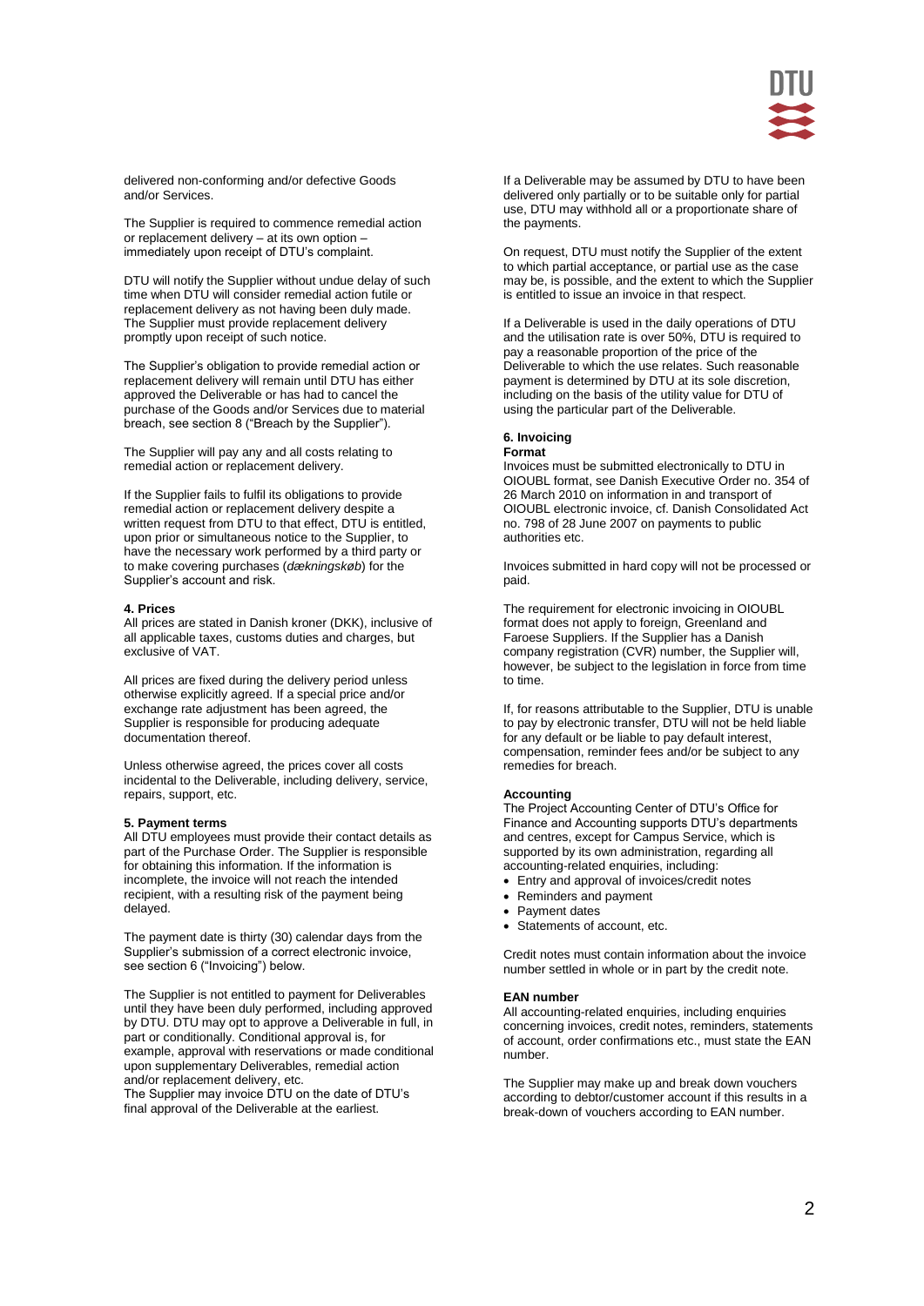

delivered non-conforming and/or defective Goods and/or Services.

The Supplier is required to commence remedial action or replacement delivery – at its own option – immediately upon receipt of DTU's complaint.

DTU will notify the Supplier without undue delay of such time when DTU will consider remedial action futile or replacement delivery as not having been duly made. The Supplier must provide replacement delivery promptly upon receipt of such notice.

The Supplier's obligation to provide remedial action or replacement delivery will remain until DTU has either approved the Deliverable or has had to cancel the purchase of the Goods and/or Services due to material breach, see section 8 ("Breach by the Supplier").

The Supplier will pay any and all costs relating to remedial action or replacement delivery.

If the Supplier fails to fulfil its obligations to provide remedial action or replacement delivery despite a written request from DTU to that effect. DTU is entitled. upon prior or simultaneous notice to the Supplier, to have the necessary work performed by a third party or to make covering purchases (*dækningskøb*) for the Supplier's account and risk.

#### **4. Prices**

All prices are stated in Danish kroner (DKK), inclusive of all applicable taxes, customs duties and charges, but exclusive of VAT.

All prices are fixed during the delivery period unless otherwise explicitly agreed. If a special price and/or exchange rate adjustment has been agreed, the Supplier is responsible for producing adequate documentation thereof.

Unless otherwise agreed, the prices cover all costs incidental to the Deliverable, including delivery, service, repairs, support, etc.

### **5. Payment terms**

All DTU employees must provide their contact details as part of the Purchase Order. The Supplier is responsible for obtaining this information. If the information is incomplete, the invoice will not reach the intended recipient, with a resulting risk of the payment being delayed.

The payment date is thirty (30) calendar days from the Supplier's submission of a correct electronic invoice, see section 6 ("Invoicing") below.

The Supplier is not entitled to payment for Deliverables until they have been duly performed, including approved by DTU. DTU may opt to approve a Deliverable in full, in part or conditionally. Conditional approval is, for example, approval with reservations or made conditional upon supplementary Deliverables, remedial action and/or replacement delivery, etc.

The Supplier may invoice DTU on the date of DTU's final approval of the Deliverable at the earliest.

If a Deliverable may be assumed by DTU to have been delivered only partially or to be suitable only for partial use, DTU may withhold all or a proportionate share of the payments.

On request, DTU must notify the Supplier of the extent to which partial acceptance, or partial use as the case may be, is possible, and the extent to which the Supplier is entitled to issue an invoice in that respect.

If a Deliverable is used in the daily operations of DTU and the utilisation rate is over 50%, DTU is required to pay a reasonable proportion of the price of the Deliverable to which the use relates. Such reasonable payment is determined by DTU at its sole discretion, including on the basis of the utility value for DTU of using the particular part of the Deliverable.

#### **6. Invoicing Format**

Invoices must be submitted electronically to DTU in OIOUBL format, see Danish Executive Order no. 354 of 26 March 2010 on information in and transport of OIOUBL electronic invoice, cf. Danish Consolidated Act no. 798 of 28 June 2007 on payments to public authorities etc.

Invoices submitted in hard copy will not be processed or paid.

The requirement for electronic invoicing in OIOUBL format does not apply to foreign, Greenland and Faroese Suppliers. If the Supplier has a Danish company registration (CVR) number, the Supplier will, however, be subject to the legislation in force from time to time.

If, for reasons attributable to the Supplier, DTU is unable to pay by electronic transfer, DTU will not be held liable for any default or be liable to pay default interest, compensation, reminder fees and/or be subject to any remedies for breach.

## **Accounting**

The Project Accounting Center of DTU's Office for Finance and Accounting supports DTU's departments and centres, except for Campus Service, which is supported by its own administration, regarding all accounting-related enquiries, including:

- Entry and approval of invoices/credit notes
- Reminders and payment
- Payment dates
- Statements of account, etc.

Credit notes must contain information about the invoice number settled in whole or in part by the credit note.

## **EAN number**

All accounting-related enquiries, including enquiries concerning invoices, credit notes, reminders, statements of account, order confirmations etc., must state the EAN number.

The Supplier may make up and break down vouchers according to debtor/customer account if this results in a break-down of vouchers according to EAN number.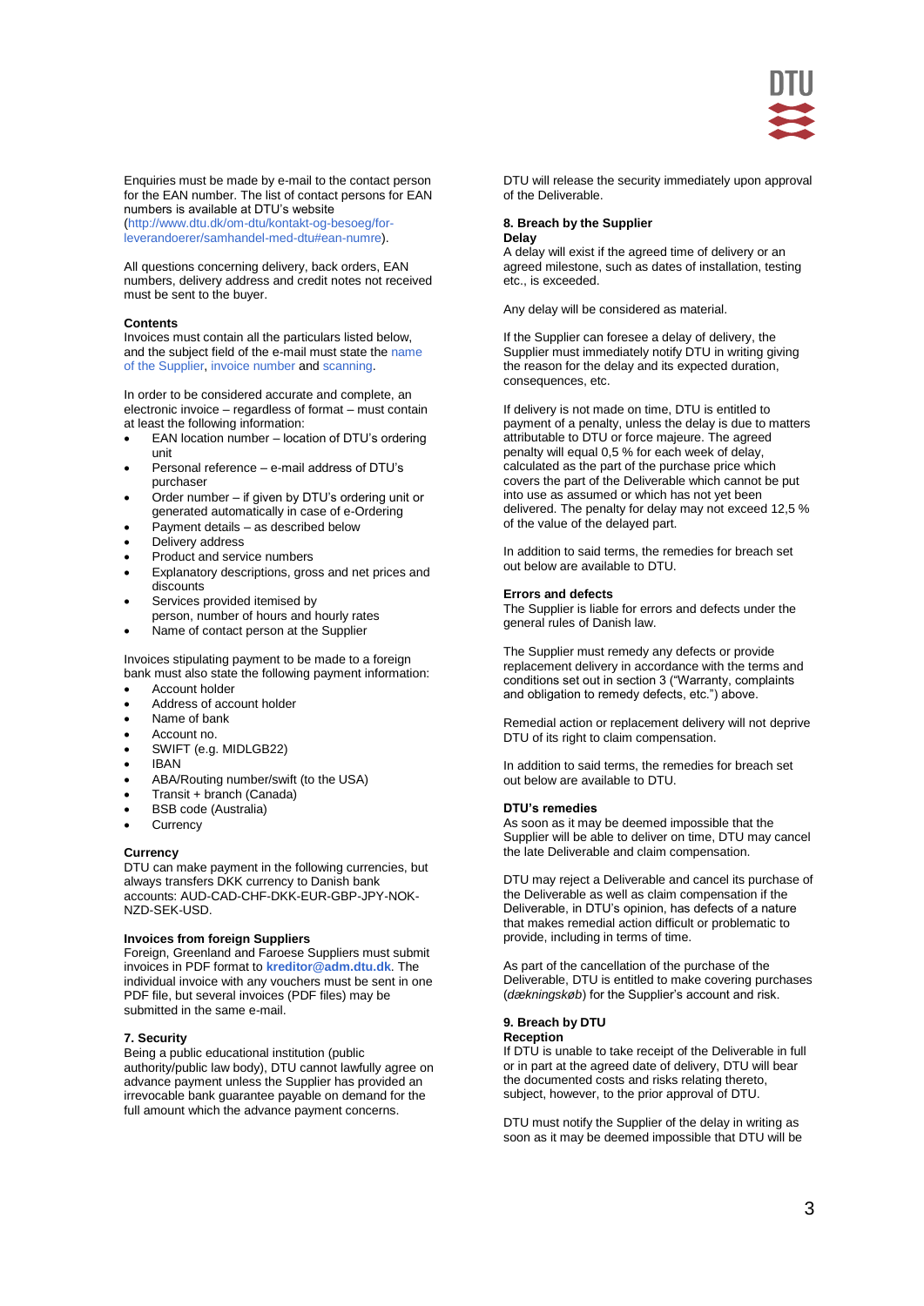

Enquiries must be made by e-mail to the contact person for the EAN number. The list of contact persons for EAN numbers is available at DTU's website [\(http://www.dtu.dk/om-dtu/kontakt-og-besoeg/for](http://www.dtu.dk/om-dtu/kontakt-og-besoeg/for-leverandoerer/samhandel-med-dtu#ean-numre)[leverandoerer/samhandel-med-dtu#ean-numre\)](http://www.dtu.dk/om-dtu/kontakt-og-besoeg/for-leverandoerer/samhandel-med-dtu#ean-numre).

All questions concerning delivery, back orders, EAN numbers, delivery address and credit notes not received must be sent to the buyer.

### **Contents**

Invoices must contain all the particulars listed below, and the subject field of the e-mail must state the name of the Supplier, invoice number and scanning.

In order to be considered accurate and complete, an electronic invoice – regardless of format – must contain at least the following information:

- EAN location number location of DTU's ordering unit
- Personal reference e-mail address of DTU's purchaser
- Order number if given by DTU's ordering unit or generated automatically in case of e-Ordering
- Payment details as described below
- Delivery address
- Product and service numbers
- Explanatory descriptions, gross and net prices and discounts
- Services provided itemised by person, number of hours and hourly rates
- Name of contact person at the Supplier

Invoices stipulating payment to be made to a foreign bank must also state the following payment information:

- Account holder
- Address of account holder
- Name of bank
- Account no.
- SWIFT (e.g. MIDLGB22)
- $\bullet$  IRAN
- ABA/Routing number/swift (to the USA)
- Transit + branch (Canada)
- BSB code (Australia)
- **Currency**

#### **Currency**

DTU can make payment in the following currencies, but always transfers DKK currency to Danish bank accounts: AUD-CAD-CHF-DKK-EUR-GBP-JPY-NOK-NZD-SEK-USD.

### **Invoices from foreign Suppliers**

Foreign, Greenland and Faroese Suppliers must submit invoices in PDF format to **[kreditor@adm.dtu.dk](mailto:kreditor@adm.dtu.dk)**. The individual invoice with any vouchers must be sent in one PDF file, but several invoices (PDF files) may be submitted in the same e-mail.

#### **7. Security**

Being a public educational institution (public authority/public law body), DTU cannot lawfully agree on advance payment unless the Supplier has provided an irrevocable bank guarantee payable on demand for the full amount which the advance payment concerns.

DTU will release the security immediately upon approval of the Deliverable.

#### **8. Breach by the Supplier Delay**

A delay will exist if the agreed time of delivery or an agreed milestone, such as dates of installation, testing etc., is exceeded.

Any delay will be considered as material.

If the Supplier can foresee a delay of delivery, the Supplier must immediately notify DTU in writing giving the reason for the delay and its expected duration, consequences, etc.

If delivery is not made on time, DTU is entitled to payment of a penalty, unless the delay is due to matters attributable to DTU or force majeure. The agreed penalty will equal 0,5 % for each week of delay, calculated as the part of the purchase price which covers the part of the Deliverable which cannot be put into use as assumed or which has not yet been delivered. The penalty for delay may not exceed 12,5 % of the value of the delayed part.

In addition to said terms, the remedies for breach set out below are available to DTU.

#### **Errors and defects**

The Supplier is liable for errors and defects under the general rules of Danish law.

The Supplier must remedy any defects or provide replacement delivery in accordance with the terms and conditions set out in section 3 ("Warranty, complaints and obligation to remedy defects, etc.") above.

Remedial action or replacement delivery will not deprive DTU of its right to claim compensation.

In addition to said terms, the remedies for breach set out below are available to DTU.

#### **DTU's remedies**

As soon as it may be deemed impossible that the Supplier will be able to deliver on time, DTU may cancel the late Deliverable and claim compensation.

DTU may reject a Deliverable and cancel its purchase of the Deliverable as well as claim compensation if the Deliverable, in DTU's opinion, has defects of a nature that makes remedial action difficult or problematic to provide, including in terms of time.

As part of the cancellation of the purchase of the Deliverable, DTU is entitled to make covering purchases (*dækningskøb*) for the Supplier's account and risk.

#### **9. Breach by DTU Reception**

If DTU is unable to take receipt of the Deliverable in full or in part at the agreed date of delivery, DTU will bear the documented costs and risks relating thereto, subject, however, to the prior approval of DTU.

DTU must notify the Supplier of the delay in writing as soon as it may be deemed impossible that DTU will be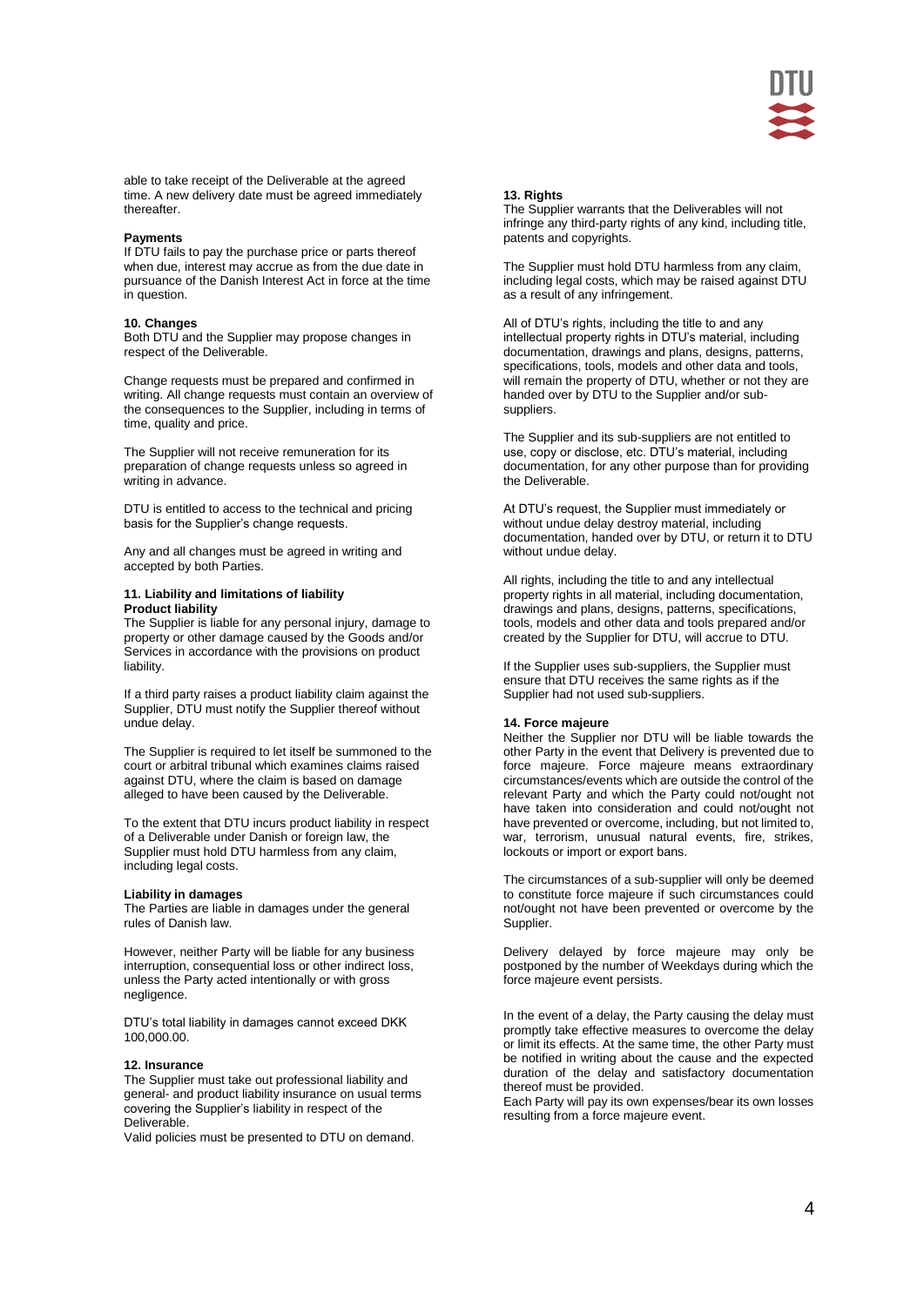

able to take receipt of the Deliverable at the agreed time. A new delivery date must be agreed immediately thereafter.

### **Payments**

If DTU fails to pay the purchase price or parts thereof when due, interest may accrue as from the due date in pursuance of the Danish Interest Act in force at the time in question.

### **10. Changes**

Both DTU and the Supplier may propose changes in respect of the Deliverable.

Change requests must be prepared and confirmed in writing. All change requests must contain an overview of the consequences to the Supplier, including in terms of time, quality and price.

The Supplier will not receive remuneration for its preparation of change requests unless so agreed in writing in advance.

DTU is entitled to access to the technical and pricing basis for the Supplier's change requests.

Any and all changes must be agreed in writing and accepted by both Parties.

#### **11. Liability and limitations of liability Product liability**

The Supplier is liable for any personal injury, damage to property or other damage caused by the Goods and/or Services in accordance with the provisions on product liability.

If a third party raises a product liability claim against the Supplier, DTU must notify the Supplier thereof without undue delay.

The Supplier is required to let itself be summoned to the court or arbitral tribunal which examines claims raised against DTU, where the claim is based on damage alleged to have been caused by the Deliverable.

To the extent that DTU incurs product liability in respect of a Deliverable under Danish or foreign law, the Supplier must hold DTU harmless from any claim, including legal costs.

### **Liability in damages**

The Parties are liable in damages under the general rules of Danish law.

However, neither Party will be liable for any business interruption, consequential loss or other indirect loss, unless the Party acted intentionally or with gross negligence.

DTU's total liability in damages cannot exceed DKK 100,000.00.

#### **12. Insurance**

The Supplier must take out professional liability and general- and product liability insurance on usual terms covering the Supplier's liability in respect of the Deliverable.

Valid policies must be presented to DTU on demand.

### **13. Rights**

The Supplier warrants that the Deliverables will not infringe any third-party rights of any kind, including title, patents and copyrights.

The Supplier must hold DTU harmless from any claim, including legal costs, which may be raised against DTU as a result of any infringement.

All of DTU's rights, including the title to and any intellectual property rights in DTU's material, including documentation, drawings and plans, designs, patterns, specifications, tools, models and other data and tools, will remain the property of DTU, whether or not they are handed over by DTU to the Supplier and/or subsuppliers.

The Supplier and its sub-suppliers are not entitled to use, copy or disclose, etc. DTU's material, including documentation, for any other purpose than for providing the Deliverable.

At DTU's request, the Supplier must immediately or without undue delay destroy material, including documentation, handed over by DTU, or return it to DTU without undue delay.

All rights, including the title to and any intellectual property rights in all material, including documentation, drawings and plans, designs, patterns, specifications, tools, models and other data and tools prepared and/or created by the Supplier for DTU, will accrue to DTU.

If the Supplier uses sub-suppliers, the Supplier must ensure that DTU receives the same rights as if the Supplier had not used sub-suppliers.

#### **14. Force majeure**

Neither the Supplier nor DTU will be liable towards the other Party in the event that Delivery is prevented due to force majeure. Force majeure means extraordinary circumstances/events which are outside the control of the relevant Party and which the Party could not/ought not have taken into consideration and could not/ought not have prevented or overcome, including, but not limited to, war, terrorism, unusual natural events, fire, strikes, lockouts or import or export bans.

The circumstances of a sub-supplier will only be deemed to constitute force majeure if such circumstances could not/ought not have been prevented or overcome by the Supplier.

Delivery delayed by force majeure may only be postponed by the number of Weekdays during which the force majeure event persists.

In the event of a delay, the Party causing the delay must promptly take effective measures to overcome the delay or limit its effects. At the same time, the other Party must be notified in writing about the cause and the expected duration of the delay and satisfactory documentation thereof must be provided.

Each Party will pay its own expenses/bear its own losses resulting from a force majeure event.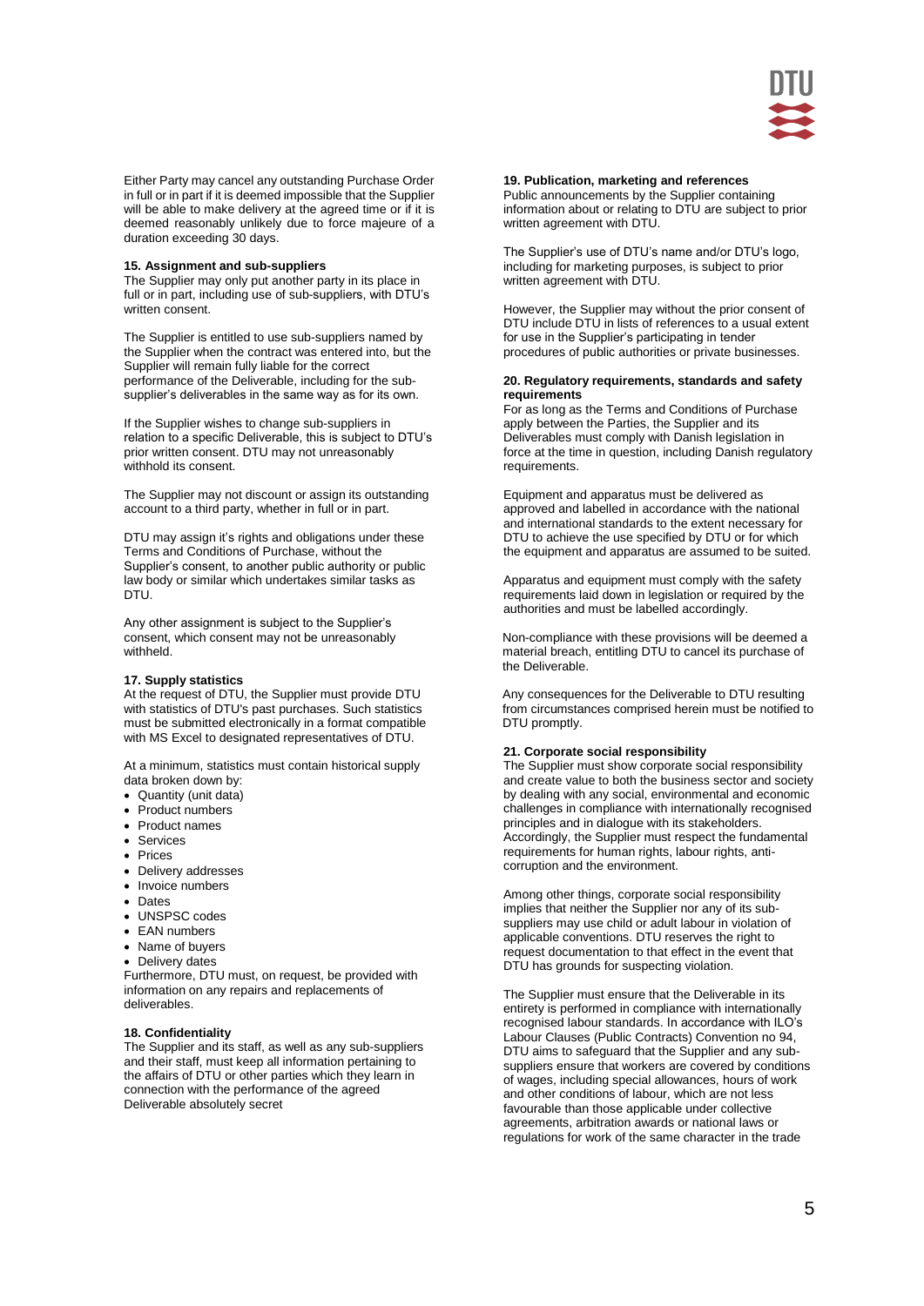

Either Party may cancel any outstanding Purchase Order in full or in part if it is deemed impossible that the Supplier will be able to make delivery at the agreed time or if it is deemed reasonably unlikely due to force majeure of a duration exceeding 30 days.

### **15. Assignment and sub-suppliers**

The Supplier may only put another party in its place in full or in part, including use of sub-suppliers, with DTU's written consent.

The Supplier is entitled to use sub-suppliers named by the Supplier when the contract was entered into, but the Supplier will remain fully liable for the correct performance of the Deliverable, including for the subsupplier's deliverables in the same way as for its own.

If the Supplier wishes to change sub-suppliers in relation to a specific Deliverable, this is subject to DTU's prior written consent. DTU may not unreasonably withhold its consent.

The Supplier may not discount or assign its outstanding account to a third party, whether in full or in part.

DTU may assign it's rights and obligations under these Terms and Conditions of Purchase, without the Supplier's consent, to another public authority or public law body or similar which undertakes similar tasks as DTU.

Any other assignment is subject to the Supplier's consent, which consent may not be unreasonably withheld.

#### **17. Supply statistics**

At the request of DTU, the Supplier must provide DTU with statistics of DTU's past purchases. Such statistics must be submitted electronically in a format compatible with MS Excel to designated representatives of DTU.

At a minimum, statistics must contain historical supply data broken down by:

- Quantity (unit data)
- Product numbers
- Product names
- Services
- Prices
- Delivery addresses
- Invoice numbers
- Dates
- UNSPSC codes
- EAN numbers
- Name of buyers
- Delivery dates

Furthermore, DTU must, on request, be provided with information on any repairs and replacements of deliverables.

### **18. Confidentiality**

The Supplier and its staff, as well as any sub-suppliers and their staff, must keep all information pertaining to the affairs of DTU or other parties which they learn in connection with the performance of the agreed Deliverable absolutely secret

# **19. Publication, marketing and references**

Public announcements by the Supplier containing information about or relating to DTU are subject to prior written agreement with DTU.

The Supplier's use of DTU's name and/or DTU's logo, including for marketing purposes, is subject to prior written agreement with DTU.

However, the Supplier may without the prior consent of DTU include DTU in lists of references to a usual extent for use in the Supplier's participating in tender procedures of public authorities or private businesses.

### **20. Regulatory requirements, standards and safety requirements**

For as long as the Terms and Conditions of Purchase apply between the Parties, the Supplier and its Deliverables must comply with Danish legislation in force at the time in question, including Danish regulatory requirements.

Equipment and apparatus must be delivered as approved and labelled in accordance with the national and international standards to the extent necessary for DTU to achieve the use specified by DTU or for which the equipment and apparatus are assumed to be suited.

Apparatus and equipment must comply with the safety requirements laid down in legislation or required by the authorities and must be labelled accordingly.

Non-compliance with these provisions will be deemed a material breach, entitling DTU to cancel its purchase of the Deliverable.

Any consequences for the Deliverable to DTU resulting from circumstances comprised herein must be notified to DTU promptly.

### **21. Corporate social responsibility**

The Supplier must show corporate social responsibility and create value to both the business sector and society by dealing with any social, environmental and economic challenges in compliance with internationally recognised principles and in dialogue with its stakeholders. Accordingly, the Supplier must respect the fundamental requirements for human rights, labour rights, anticorruption and the environment.

Among other things, corporate social responsibility implies that neither the Supplier nor any of its subsuppliers may use child or adult labour in violation of applicable conventions. DTU reserves the right to request documentation to that effect in the event that DTU has grounds for suspecting violation.

The Supplier must ensure that the Deliverable in its entirety is performed in compliance with internationally recognised labour standards. In accordance with ILO's Labour Clauses (Public Contracts) Convention no 94, DTU aims to safeguard that the Supplier and any subsuppliers ensure that workers are covered by conditions of wages, including special allowances, hours of work and other conditions of labour, which are not less favourable than those applicable under collective agreements, arbitration awards or national laws or regulations for work of the same character in the trade